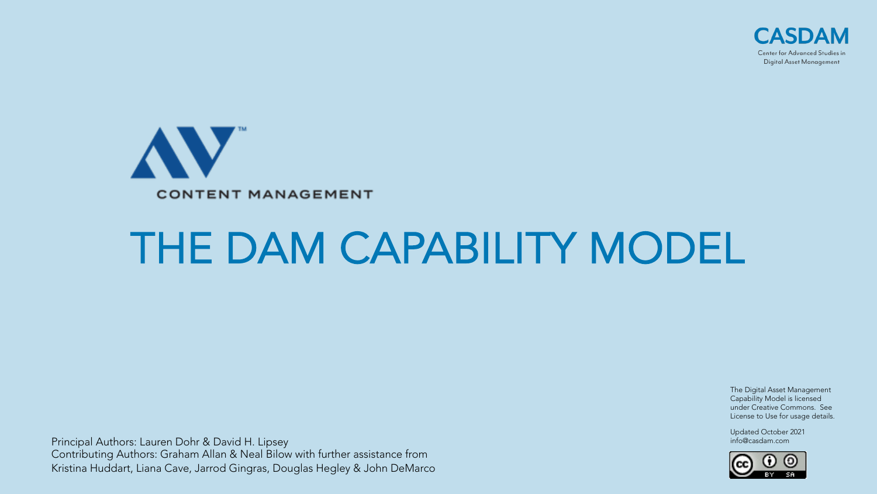



# THE DAM CAPABILITY MODEL

Principal Authors: Lauren Dohr & David H. Lipsey Contributing Authors: Graham Allan & Neal Bilow with further assistance from Kristina Huddart, Liana Cave, Jarrod Gingras, Douglas Hegley & John DeMarco

The Digital Asset Management Capability Model is licensed under Creative Commons. See License to Use for usage details.

Updated October 2021 info@casdam.com

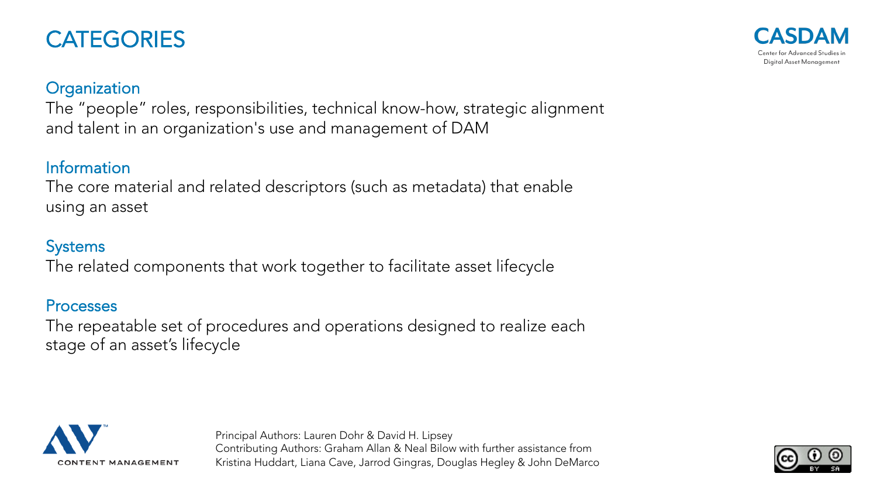### **CATEGORIES**

#### **Organization**

The "people" roles, responsibilities, technical know-how, strategic alignment and talent in an organization's use and management of DAM

#### Information

The core material and related descriptors (such as metadata) that enable using an asset

#### **Systems**

The related components that work together to facilitate asset lifecycle

#### Processes

The repeatable set of procedures and operations designed to realize each stage of an asset's lifecycle





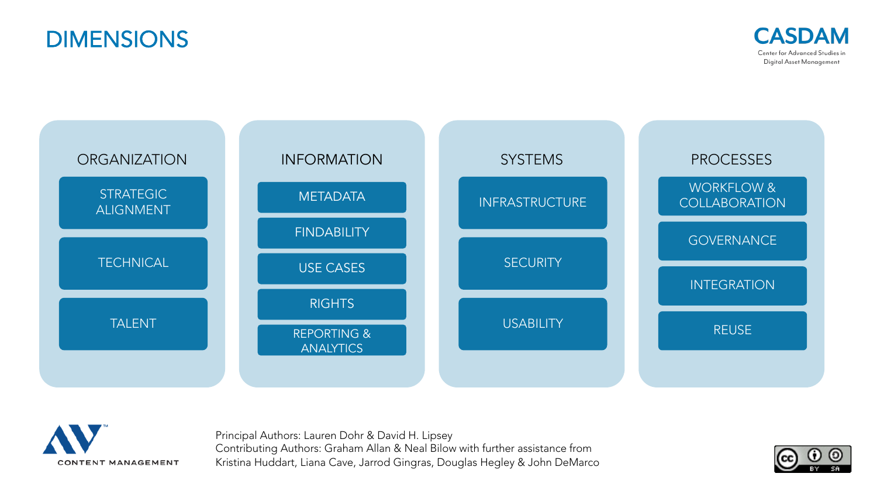







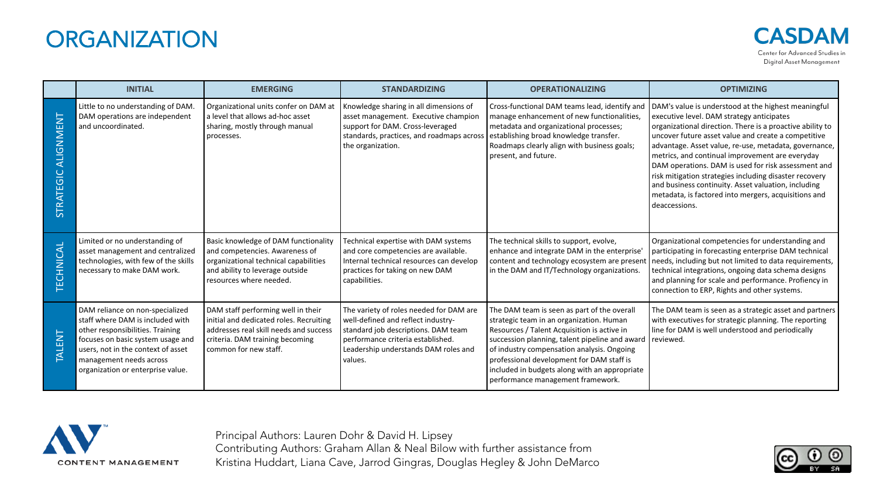### **ORGANIZATION**

|                               | <b>INITIAL</b>                                                                                                                                                                                                                                     | <b>EMERGING</b>                                                                                                                                                                     | <b>STANDARDIZING</b>                                                                                                                                                                                         | <b>OPERATIONALIZING</b>                                                                                                                                                                                                                                                                                                                                                   | <b>OPTIMIZING</b>                                                                                                                                                                                                                                                                                                                                                                                                                                                                                                                                                                 |
|-------------------------------|----------------------------------------------------------------------------------------------------------------------------------------------------------------------------------------------------------------------------------------------------|-------------------------------------------------------------------------------------------------------------------------------------------------------------------------------------|--------------------------------------------------------------------------------------------------------------------------------------------------------------------------------------------------------------|---------------------------------------------------------------------------------------------------------------------------------------------------------------------------------------------------------------------------------------------------------------------------------------------------------------------------------------------------------------------------|-----------------------------------------------------------------------------------------------------------------------------------------------------------------------------------------------------------------------------------------------------------------------------------------------------------------------------------------------------------------------------------------------------------------------------------------------------------------------------------------------------------------------------------------------------------------------------------|
| ALIGNMENT<br><b>STRATEGIC</b> | Little to no understanding of DAM.<br>DAM operations are independent<br>and uncoordinated.                                                                                                                                                         | Organizational units confer on DAM at<br>a level that allows ad-hoc asset<br>sharing, mostly through manual<br>processes.                                                           | Knowledge sharing in all dimensions of<br>asset management. Executive champion<br>support for DAM. Cross-leveraged<br>standards, practices, and roadmaps across<br>the organization.                         | Cross-functional DAM teams lead, identify and<br>manage enhancement of new functionalities,<br>metadata and organizational processes;<br>establishing broad knowledge transfer.<br>Roadmaps clearly align with business goals;<br>present, and future.                                                                                                                    | DAM's value is understood at the highest meaningful<br>executive level. DAM strategy anticipates<br>organizational direction. There is a proactive ability to<br>uncover future asset value and create a competitive<br>advantage. Asset value, re-use, metadata, governance,<br>metrics, and continual improvement are everyday<br>DAM operations. DAM is used for risk assessment and<br>risk mitigation strategies including disaster recovery<br>and business continuity. Asset valuation, including<br>metadata, is factored into mergers, acquisitions and<br>deaccessions. |
| ECHNICAL                      | Limited or no understanding of<br>asset management and centralized<br>technologies, with few of the skills<br>necessary to make DAM work.                                                                                                          | Basic knowledge of DAM functionality<br>and competencies. Awareness of<br>organizational technical capabilities<br>and ability to leverage outside<br>resources where needed.       | Technical expertise with DAM systems<br>and core competencies are available.<br>Internal technical resources can develop<br>practices for taking on new DAM<br>capabilities.                                 | The technical skills to support, evolve,<br>enhance and integrate DAM in the enterprise'<br>content and technology ecosystem are present<br>in the DAM and IT/Technology organizations.                                                                                                                                                                                   | Organizational competencies for understanding and<br>participating in forecasting enterprise DAM technical<br>needs, including but not limited to data requirements,<br>technical integrations, ongoing data schema designs<br>and planning for scale and performance. Profiency in<br>connection to ERP, Rights and other systems.                                                                                                                                                                                                                                               |
| TALENT                        | DAM reliance on non-specialized<br>staff where DAM is included with<br>other responsibilities. Training<br>focuses on basic system usage and<br>users, not in the context of asset<br>management needs across<br>organization or enterprise value. | DAM staff performing well in their<br>initial and dedicated roles. Recruiting<br>addresses real skill needs and success<br>criteria. DAM training becoming<br>common for new staff. | The variety of roles needed for DAM are<br>well-defined and reflect industry-<br>standard job descriptions. DAM team<br>performance criteria established.<br>Leadership understands DAM roles and<br>values. | The DAM team is seen as part of the overall<br>strategic team in an organization. Human<br>Resources / Talent Acquisition is active in<br>succession planning, talent pipeline and award<br>of industry compensation analysis. Ongoing<br>professional development for DAM staff is<br>included in budgets along with an appropriate<br>performance management framework. | The DAM team is seen as a strategic asset and partners<br>with executives for strategic planning. The reporting<br>line for DAM is well understood and periodically<br><b>I</b> reviewed.                                                                                                                                                                                                                                                                                                                                                                                         |



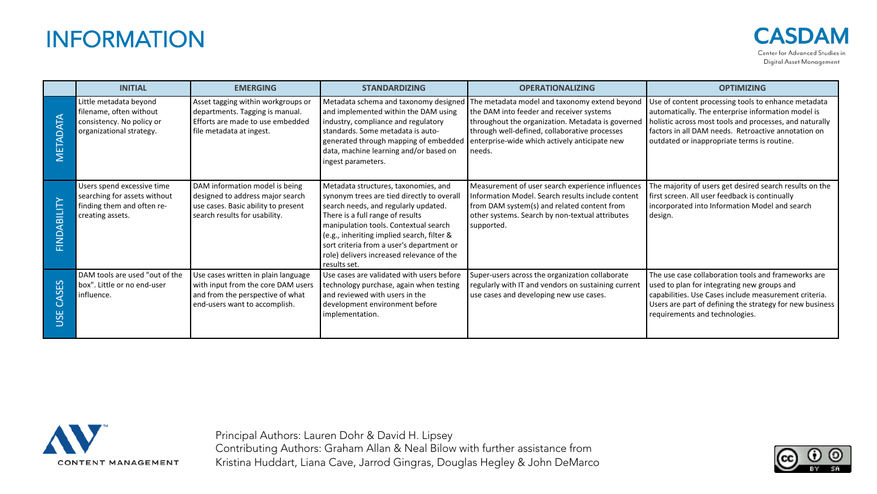### INFORMATION

|                                  | <b>INITIAL</b>                                                                                               | <b>EMERGING</b>                                                                                                                                | <b>STANDARDIZING</b>                                                                                                                                                                                                                                                                                                                                            | <b>OPERATIONALIZING</b>                                                                                                                                                                                                                                    | <b>OPTIMIZING</b>                                                                                                                                                                                                                                                          |
|----------------------------------|--------------------------------------------------------------------------------------------------------------|------------------------------------------------------------------------------------------------------------------------------------------------|-----------------------------------------------------------------------------------------------------------------------------------------------------------------------------------------------------------------------------------------------------------------------------------------------------------------------------------------------------------------|------------------------------------------------------------------------------------------------------------------------------------------------------------------------------------------------------------------------------------------------------------|----------------------------------------------------------------------------------------------------------------------------------------------------------------------------------------------------------------------------------------------------------------------------|
| METADATA                         | Little metadata beyond<br>filename, often without<br>consistency. No policy or<br>organizational strategy.   | Asset tagging within workgroups or<br>departments. Tagging is manual.<br>Efforts are made to use embedded<br>file metadata at ingest.          | Metadata schema and taxonomy designed<br>and implemented within the DAM using<br>industry, compliance and regulatory<br>standards. Some metadata is auto-<br>generated through mapping of embedded<br>data, machine learning and/or based on<br>ingest parameters.                                                                                              | The metadata model and taxonomy extend beyond<br>the DAM into feeder and receiver systems<br>throughout the organization. Metadata is governed<br>through well-defined, collaborative processes<br>enterprise-wide which actively anticipate new<br>needs. | Use of content processing tools to enhance metadata<br>automatically. The enterprise information model is<br>holistic across most tools and processes, and naturally<br>factors in all DAM needs. Retroactive annotation on<br>outdated or inappropriate terms is routine. |
| FINDABILITY                      | Users spend excessive time<br>searching for assets without<br>finding them and often re-<br>creating assets. | DAM information model is being<br>designed to address major search<br>use cases. Basic ability to present<br>search results for usability.     | Metadata structures, taxonomies, and<br>synonym trees are tied directly to overall<br>search needs, and regularly updated.<br>There is a full range of results<br>manipulation tools. Contextual search<br>(e.g., inheriting implied search, filter &<br>sort criteria from a user's department or<br>role) delivers increased relevance of the<br>results set. | Measurement of user search experience influences<br>Information Model. Search results include content<br>from DAM system(s) and related content from<br>other systems. Search by non-textual attributes<br>supported.                                      | The majority of users get desired search results on the<br>first screen. All user feedback is continually<br>incorporated into Information Model and search<br>design.                                                                                                     |
| ASES<br>G<br>ш<br>$\overline{S}$ | DAM tools are used "out of the<br>box". Little or no end-user<br>influence.                                  | Use cases written in plain language<br>with input from the core DAM users<br>and from the perspective of what<br>end-users want to accomplish. | Use cases are validated with users before<br>technology purchase, again when testing<br>and reviewed with users in the<br>development environment before<br>implementation.                                                                                                                                                                                     | Super-users across the organization collaborate<br>regularly with IT and vendors on sustaining current<br>use cases and developing new use cases.                                                                                                          | The use case collaboration tools and frameworks are<br>used to plan for integrating new groups and<br>capabilities. Use Cases include measurement criteria.<br>Users are part of defining the strategy for new business<br>requirements and technologies.                  |



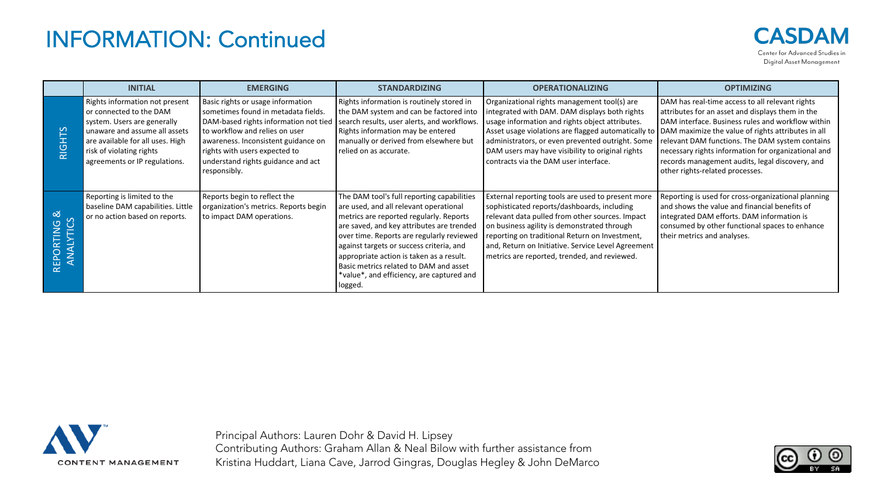## INFORMATION: Continued



|                                | <b>INITIAL</b>                                                                                                                                                                                                             | <b>EMERGING</b>                                                                                                                                                                                                                                                                   | <b>STANDARDIZING</b>                                                                                                                                                                                                                                                                                                                                                                                                | <b>OPERATIONALIZING</b>                                                                                                                                                                                                                                                                                                                                                                                       | <b>OPTIMIZING</b>                                                                                                                                                                                                                                                                                                                                        |
|--------------------------------|----------------------------------------------------------------------------------------------------------------------------------------------------------------------------------------------------------------------------|-----------------------------------------------------------------------------------------------------------------------------------------------------------------------------------------------------------------------------------------------------------------------------------|---------------------------------------------------------------------------------------------------------------------------------------------------------------------------------------------------------------------------------------------------------------------------------------------------------------------------------------------------------------------------------------------------------------------|---------------------------------------------------------------------------------------------------------------------------------------------------------------------------------------------------------------------------------------------------------------------------------------------------------------------------------------------------------------------------------------------------------------|----------------------------------------------------------------------------------------------------------------------------------------------------------------------------------------------------------------------------------------------------------------------------------------------------------------------------------------------------------|
| RIGHTS                         | Rights information not present<br>or connected to the DAM<br>system. Users are generally<br>unaware and assume all assets<br>are available for all uses. High<br>risk of violating rights<br>agreements or IP regulations. | Basic rights or usage information<br>sometimes found in metadata fields.<br>DAM-based rights information not tied<br>to workflow and relies on user<br>awareness. Inconsistent guidance on<br>rights with users expected to<br>understand rights guidance and act<br>responsibly. | Rights information is routinely stored in<br>the DAM system and can be factored into<br>search results, user alerts, and workflows.<br>Rights information may be entered<br>manually or derived from elsewhere but<br>relied on as accurate.                                                                                                                                                                        | Organizational rights management tool(s) are<br>integrated with DAM. DAM displays both rights<br>usage information and rights object attributes.<br>Asset usage violations are flagged automatically to   DAM maximize the value of rights attributes in all<br>administrators, or even prevented outright. Some<br>DAM users may have visibility to original rights<br>contracts via the DAM user interface. | DAM has real-time access to all relevant rights<br>attributes for an asset and displays them in the<br>DAM interface. Business rules and workflow within<br>relevant DAM functions. The DAM system contains<br>necessary rights information for organizational and<br>records management audits, legal discovery, and<br>other rights-related processes. |
| ಹ<br>ြ<br>RTING<br>$\leq$<br>⋖ | Reporting is limited to the<br>baseline DAM capabilities. Little<br>or no action based on reports.                                                                                                                         | Reports begin to reflect the<br>organization's metrics. Reports begin<br>to impact DAM operations.                                                                                                                                                                                | The DAM tool's full reporting capabilities<br>are used, and all relevant operational<br>metrics are reported regularly. Reports<br>are saved, and key attributes are trended<br>over time. Reports are regularly reviewed<br>against targets or success criteria, and<br>appropriate action is taken as a result.<br>Basic metrics related to DAM and asset<br>*value*, and efficiency, are captured and<br>logged. | External reporting tools are used to present more<br>sophisticated reports/dashboards, including<br>relevant data pulled from other sources. Impact<br>on business agility is demonstrated through<br>reporting on traditional Return on Investment,<br>and, Return on Initiative. Service Level Agreement<br>metrics are reported, trended, and reviewed.                                                    | Reporting is used for cross-organizational planning<br>and shows the value and financial benefits of<br>integrated DAM efforts. DAM information is<br>consumed by other functional spaces to enhance<br>their metrics and analyses.                                                                                                                      |



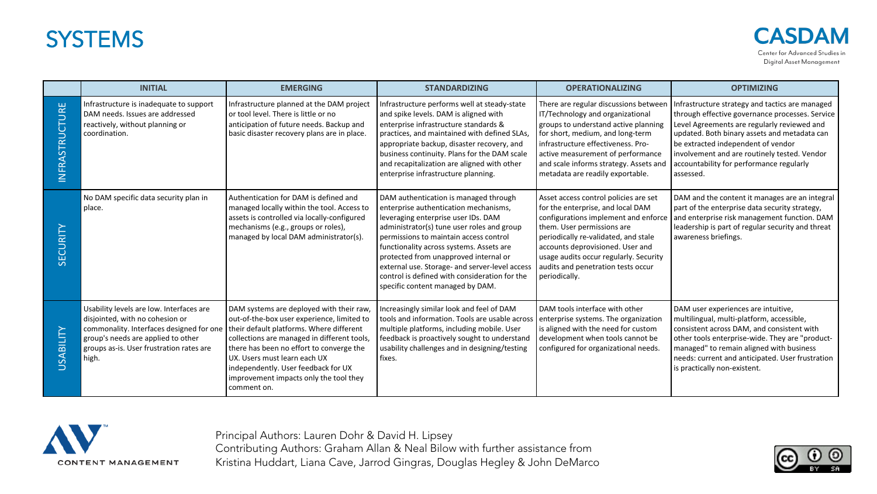### **SYSTEMS**

| <b>SDAM</b>                    |
|--------------------------------|
| Center for Advanced Studies in |
| Digital Asset Management       |

|                       | <b>INITIAL</b>                                                                                                                                                                                                                                                | <b>EMERGING</b>                                                                                                                                                                                                                                                                                                   | <b>STANDARDIZING</b>                                                                                                                                                                                                                                                                                                                                                                                                                      | <b>OPERATIONALIZING</b>                                                                                                                                                                                                                                                                                                       | <b>OPTIMIZING</b>                                                                                                                                                                                                                                                                                                                                  |
|-----------------------|---------------------------------------------------------------------------------------------------------------------------------------------------------------------------------------------------------------------------------------------------------------|-------------------------------------------------------------------------------------------------------------------------------------------------------------------------------------------------------------------------------------------------------------------------------------------------------------------|-------------------------------------------------------------------------------------------------------------------------------------------------------------------------------------------------------------------------------------------------------------------------------------------------------------------------------------------------------------------------------------------------------------------------------------------|-------------------------------------------------------------------------------------------------------------------------------------------------------------------------------------------------------------------------------------------------------------------------------------------------------------------------------|----------------------------------------------------------------------------------------------------------------------------------------------------------------------------------------------------------------------------------------------------------------------------------------------------------------------------------------------------|
| <b>INFRASTRUCTURE</b> | Infrastructure is inadequate to support<br>DAM needs. Issues are addressed<br>reactively, without planning or<br>coordination.                                                                                                                                | Infrastructure planned at the DAM project<br>l or tool level. There is little or no<br>anticipation of future needs. Backup and<br>basic disaster recovery plans are in place.                                                                                                                                    | Infrastructure performs well at steady-state<br>and spike levels. DAM is aligned with<br>enterprise infrastructure standards &<br>practices, and maintained with defined SLAs,<br>appropriate backup, disaster recovery, and<br>business continuity. Plans for the DAM scale<br>and recapitalization are aligned with other<br>enterprise infrastructure planning.                                                                        | There are regular discussions between<br>IT/Technology and organizational<br>groups to understand active planning<br>for short, medium, and long-term<br>infrastructure effectiveness. Pro-<br>active measurement of performance<br>and scale informs strategy. Assets and<br>metadata are readily exportable.                | Infrastructure strategy and tactics are managed<br>through effective governance processes. Service<br>Level Agreements are regularly reviewed and<br>updated. Both binary assets and metadata can<br>be extracted independent of vendor<br>involvement and are routinely tested. Vendor<br>accountability for performance regularly<br>l assessed. |
| SECURITY              | No DAM specific data security plan in<br>place.                                                                                                                                                                                                               | Authentication for DAM is defined and<br>managed locally within the tool. Access to<br>assets is controlled via locally-configured<br>mechanisms (e.g., groups or roles),<br>managed by local DAM administrator(s).                                                                                               | DAM authentication is managed through<br>enterprise authentication mechanisms,<br>leveraging enterprise user IDs. DAM<br>administrator(s) tune user roles and group<br>permissions to maintain access control<br>functionality across systems. Assets are<br>protected from unapproved internal or<br>external use. Storage- and server-level access<br>control is defined with consideration for the<br>specific content managed by DAM. | Asset access control policies are set<br>for the enterprise, and local DAM<br>configurations implement and enforce<br>them. User permissions are<br>periodically re-validated, and stale<br>accounts deprovisioned. User and<br>usage audits occur regularly. Security<br>audits and penetration tests occur<br>periodically. | DAM and the content it manages are an integral<br>part of the enterprise data security strategy,<br>and enterprise risk management function. DAM<br>leadership is part of regular security and threat<br>awareness briefings.                                                                                                                      |
| <b>USABILITY</b>      | Usability levels are low. Interfaces are<br>disjointed, with no cohesion or<br>commonality. Interfaces designed for one   their default platforms. Where different<br>group's needs are applied to other<br>groups as-is. User frustration rates are<br>high. | DAM systems are deployed with their raw,<br>out-of-the-box user experience, limited to<br>collections are managed in different tools,<br>there has been no effort to converge the<br>UX. Users must learn each UX<br>independently. User feedback for UX<br>improvement impacts only the tool they<br>comment on. | Increasingly similar look and feel of DAM<br>tools and information. Tools are usable across<br>multiple platforms, including mobile. User<br>feedback is proactively sought to understand<br>usability challenges and in designing/testing<br>fixes.                                                                                                                                                                                      | DAM tools interface with other<br>enterprise systems. The organization<br>is aligned with the need for custom<br>development when tools cannot be<br>configured for organizational needs.                                                                                                                                     | DAM user experiences are intuitive,<br>multilingual, multi-platform, accessible,<br>consistent across DAM, and consistent with<br>other tools enterprise-wide. They are "product-<br>managed" to remain aligned with business<br>needs: current and anticipated. User frustration<br>is practically non-existent.                                  |



Principal Authors: Lauren Dohr & David H. Lipsey

Contributing Authors: Graham Allan & Neal Bilow with further assistance from Kristina Huddart, Liana Cave, Jarrod Gingras, Douglas Hegley & John DeMarco

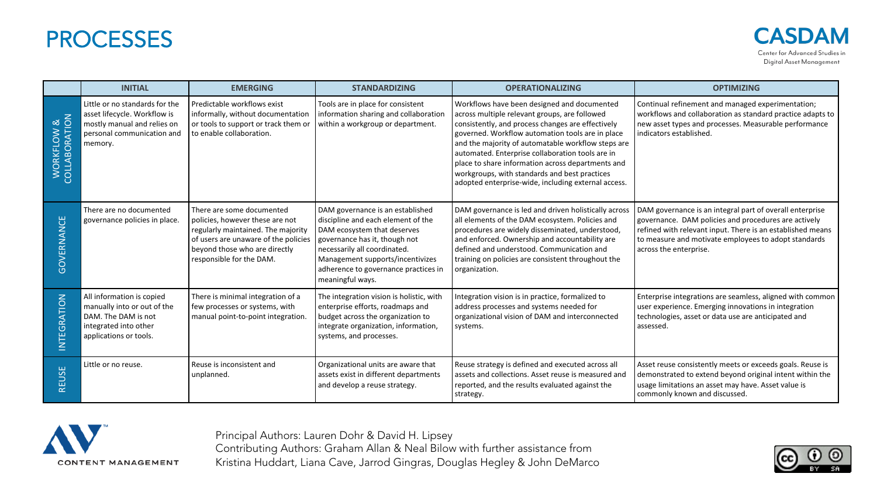#### **PROCESSES**

**CASDAM** Center for Advanced Studies in Digital Asset Management

|                             | <b>INITIAL</b>                                                                                                                         | <b>EMERGING</b>                                                                                                                                                                                         | <b>STANDARDIZING</b>                                                                                                                                                                                                                                                   | <b>OPERATIONALIZING</b>                                                                                                                                                                                                                                                                                                                                                                                                                                                      | <b>OPTIMIZING</b>                                                                                                                                                                                                                                                |
|-----------------------------|----------------------------------------------------------------------------------------------------------------------------------------|---------------------------------------------------------------------------------------------------------------------------------------------------------------------------------------------------------|------------------------------------------------------------------------------------------------------------------------------------------------------------------------------------------------------------------------------------------------------------------------|------------------------------------------------------------------------------------------------------------------------------------------------------------------------------------------------------------------------------------------------------------------------------------------------------------------------------------------------------------------------------------------------------------------------------------------------------------------------------|------------------------------------------------------------------------------------------------------------------------------------------------------------------------------------------------------------------------------------------------------------------|
| WORKFLOW &<br>COLLABORATION | Little or no standards for the<br>asset lifecycle. Workflow is<br>mostly manual and relies on<br>personal communication and<br>memory. | Predictable workflows exist<br>informally, without documentation<br>or tools to support or track them or<br>to enable collaboration.                                                                    | Tools are in place for consistent<br>information sharing and collaboration<br>within a workgroup or department.                                                                                                                                                        | Workflows have been designed and documented<br>across multiple relevant groups, are followed<br>consistently, and process changes are effectively<br>governed. Workflow automation tools are in place<br>and the majority of automatable workflow steps are<br>automated. Enterprise collaboration tools are in<br>place to share information across departments and<br>workgroups, with standards and best practices<br>adopted enterprise-wide, including external access. | Continual refinement and managed experimentation;<br>workflows and collaboration as standard practice adapts to<br>new asset types and processes. Measurable performance<br>indicators established.                                                              |
| GOVERNANCE                  | There are no documented<br>governance policies in place.                                                                               | There are some documented<br>policies, however these are not<br>regularly maintained. The majority<br>of users are unaware of the policies<br>beyond those who are directly<br>responsible for the DAM. | DAM governance is an established<br>discipline and each element of the<br>DAM ecosystem that deserves<br>governance has it, though not<br>necessarily all coordinated.<br>Management supports/incentivizes<br>adherence to governance practices in<br>meaningful ways. | DAM governance is led and driven holistically across<br>all elements of the DAM ecosystem. Policies and<br>procedures are widely disseminated, understood,<br>and enforced. Ownership and accountability are<br>defined and understood. Communication and<br>training on policies are consistent throughout the<br>organization.                                                                                                                                             | DAM governance is an integral part of overall enterprise<br>governance. DAM policies and procedures are actively<br>refined with relevant input. There is an established means<br>to measure and motivate employees to adopt standards<br>across the enterprise. |
| <b>INTEGRATION</b>          | All information is copied<br>manually into or out of the<br>DAM. The DAM is not<br>integrated into other<br>applications or tools.     | There is minimal integration of a<br>few processes or systems, with<br>manual point-to-point integration.                                                                                               | The integration vision is holistic, with<br>enterprise efforts, roadmaps and<br>budget across the organization to<br>integrate organization, information,<br>systems, and processes.                                                                                   | Integration vision is in practice, formalized to<br>address processes and systems needed for<br>organizational vision of DAM and interconnected<br>systems.                                                                                                                                                                                                                                                                                                                  | Enterprise integrations are seamless, aligned with common<br>user experience. Emerging innovations in integration<br>technologies, asset or data use are anticipated and<br>assessed.                                                                            |
| <b>REUSE</b>                | Little or no reuse.                                                                                                                    | Reuse is inconsistent and<br>unplanned.                                                                                                                                                                 | Organizational units are aware that<br>assets exist in different departments<br>and develop a reuse strategy.                                                                                                                                                          | Reuse strategy is defined and executed across all<br>assets and collections. Asset reuse is measured and<br>reported, and the results evaluated against the<br>strategy.                                                                                                                                                                                                                                                                                                     | Asset reuse consistently meets or exceeds goals. Reuse is<br>demonstrated to extend beyond original intent within the<br>usage limitations an asset may have. Asset value is<br>commonly known and discussed.                                                    |



Principal Authors: Lauren Dohr & David H. Lipsey

Contributing Authors: Graham Allan & Neal Bilow with further assistance from Kristina Huddart, Liana Cave, Jarrod Gingras, Douglas Hegley & John DeMarco